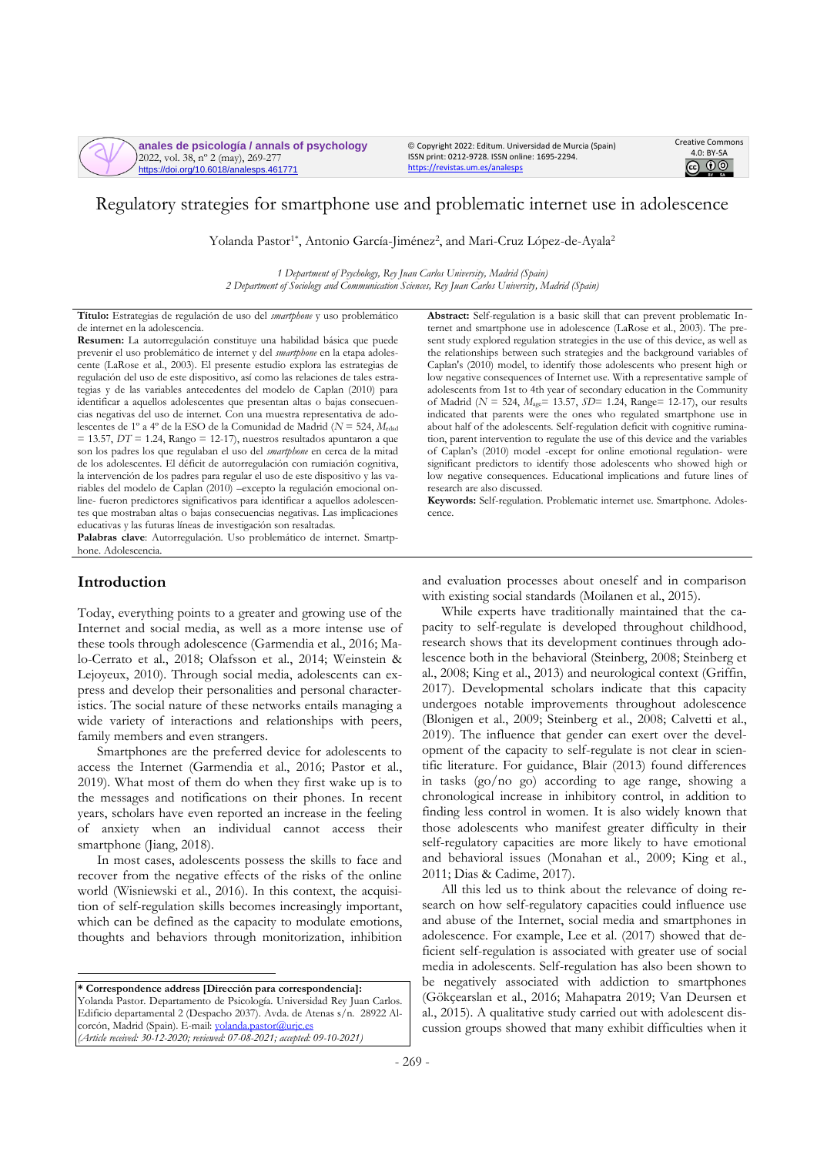**anales de psicología / annals of psychology** 2022, vol. 38, nº 2 (may), 269-277 https://doi.org/10.6018/analesps.461771

© Copyright 2022: Editum. Universidad de Murcia (Spain) ISSN print: 0212-9728. ISSN online: 1695-2294. <https://revistas.um.es/analesps>



# Regulatory strategies for smartphone use and problematic internet use in adolescence

Yolanda Pastor<sup>1\*</sup>, Antonio García-Jiménez<sup>2</sup>, and Mari-Cruz López-de-Ayala<sup>2</sup>

*1 Department of Psychology, Rey Juan Carlos University, Madrid (Spain) 2 Department of Sociology and Communication Sciences, Rey Juan Carlos University, Madrid (Spain)*

**Título:** Estrategias de regulación de uso del *smartphone* y uso problemático de internet en la adolescencia.

**Resumen:** La autorregulación constituye una habilidad básica que puede prevenir el uso problemático de internet y del *smartphone* en la etapa adolescente (LaRose et al., 2003). El presente estudio explora las estrategias de regulación del uso de este dispositivo, así como las relaciones de tales estrategias y de las variables antecedentes del modelo de Caplan (2010) para identificar a aquellos adolescentes que presentan altas o bajas consecuencias negativas del uso de internet. Con una muestra representativa de adolescentes de 1º a 4º de la ESO de la Comunidad de Madrid (*N* = 524, *M*edad  $= 13.57$ , *DT* = 1.24, Rango = 12-17), nuestros resultados apuntaron a que son los padres los que regulaban el uso del *smartphone* en cerca de la mitad de los adolescentes. El déficit de autorregulación con rumiación cognitiva, la intervención de los padres para regular el uso de este dispositivo y las variables del modelo de Caplan (2010) –excepto la regulación emocional online- fueron predictores significativos para identificar a aquellos adolescentes que mostraban altas o bajas consecuencias negativas. Las implicaciones educativas y las futuras líneas de investigación son resaltadas.

**Palabras clave**: Autorregulación. Uso problemático de internet. Smartphone. Adolescencia.

## **Introduction**

Today, everything points to a greater and growing use of the Internet and social media, as well as a more intense use of these tools through adolescence (Garmendia et al., 2016; Malo-Cerrato et al., 2018; Olafsson et al., 2014; Weinstein & Lejoyeux, 2010). Through social media, adolescents can express and develop their personalities and personal characteristics. The social nature of these networks entails managing a wide variety of interactions and relationships with peers, family members and even strangers.

Smartphones are the preferred device for adolescents to access the Internet (Garmendia et al., 2016; Pastor et al., 2019). What most of them do when they first wake up is to the messages and notifications on their phones. In recent years, scholars have even reported an increase in the feeling of anxiety when an individual cannot access their smartphone (Jiang, 2018).

In most cases, adolescents possess the skills to face and recover from the negative effects of the risks of the online world (Wisniewski et al., 2016). In this context, the acquisition of self-regulation skills becomes increasingly important, which can be defined as the capacity to modulate emotions, thoughts and behaviors through monitorization, inhibition

**\* Correspondence address [Dirección para correspondencia]:** Yolanda Pastor. Departamento de Psicología. Universidad Rey Juan Carlos. Edificio departamental 2 (Despacho 2037). Avda. de Atenas s/n. 28922 Alcorcón, Madrid (Spain). E-mail: volanda.pastor@urjc.es *(Article received: 30-12-2020; reviewed: 07-08-2021; accepted: 09-10-2021)*

**Abstract:** Self-regulation is a basic skill that can prevent problematic Internet and smartphone use in adolescence (LaRose et al., 2003). The present study explored regulation strategies in the use of this device, as well as the relationships between such strategies and the background variables of Caplan's (2010) model, to identify those adolescents who present high or low negative consequences of Internet use. With a representative sample of adolescents from 1st to 4th year of secondary education in the Community of Madrid (*N* = 524, *M*age= 13.57, *SD*= 1.24, Range= 12-17), our results indicated that parents were the ones who regulated smartphone use in about half of the adolescents. Self-regulation deficit with cognitive rumination, parent intervention to regulate the use of this device and the variables of Caplan's (2010) model -except for online emotional regulation- were significant predictors to identify those adolescents who showed high or low negative consequences. Educational implications and future lines of research are also discussed.

**Keywords:** Self-regulation. Problematic internet use. Smartphone. Adolescence.

and evaluation processes about oneself and in comparison with existing social standards (Moilanen et al., 2015).

While experts have traditionally maintained that the capacity to self-regulate is developed throughout childhood, research shows that its development continues through adolescence both in the behavioral (Steinberg, 2008; Steinberg et al., 2008; King et al., 2013) and neurological context (Griffin, 2017). Developmental scholars indicate that this capacity undergoes notable improvements throughout adolescence (Blonigen et al., 2009; Steinberg et al., 2008; Calvetti et al., 2019). The influence that gender can exert over the development of the capacity to self-regulate is not clear in scientific literature. For guidance, Blair (2013) found differences in tasks (go/no go) according to age range, showing a chronological increase in inhibitory control, in addition to finding less control in women. It is also widely known that those adolescents who manifest greater difficulty in their self-regulatory capacities are more likely to have emotional and behavioral issues (Monahan et al., 2009; King et al., 2011; Dias & Cadime, 2017).

All this led us to think about the relevance of doing research on how self-regulatory capacities could influence use and abuse of the Internet, social media and smartphones in adolescence. For example, Lee et al. (2017) showed that deficient self-regulation is associated with greater use of social media in adolescents. Self-regulation has also been shown to be negatively associated with addiction to smartphones (Gökçearslan et al., 2016; Mahapatra 2019; Van Deursen et al., 2015). A qualitative study carried out with adolescent discussion groups showed that many exhibit difficulties when it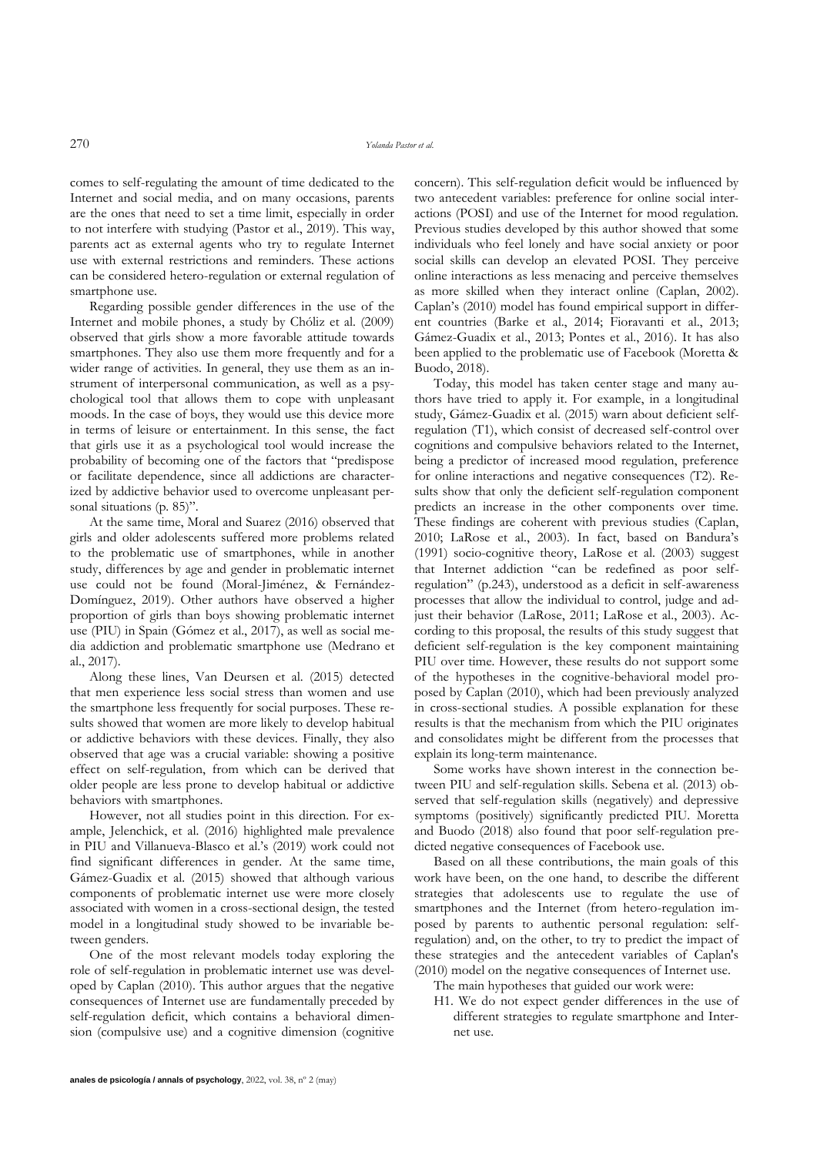comes to self-regulating the amount of time dedicated to the Internet and social media, and on many occasions, parents are the ones that need to set a time limit, especially in order to not interfere with studying (Pastor et al., 2019). This way, parents act as external agents who try to regulate Internet use with external restrictions and reminders. These actions can be considered hetero-regulation or external regulation of smartphone use.

Regarding possible gender differences in the use of the Internet and mobile phones, a study by Chóliz et al. (2009) observed that girls show a more favorable attitude towards smartphones. They also use them more frequently and for a wider range of activities. In general, they use them as an instrument of interpersonal communication, as well as a psychological tool that allows them to cope with unpleasant moods. In the case of boys, they would use this device more in terms of leisure or entertainment. In this sense, the fact that girls use it as a psychological tool would increase the probability of becoming one of the factors that "predispose or facilitate dependence, since all addictions are characterized by addictive behavior used to overcome unpleasant personal situations (p. 85)".

At the same time, Moral and Suarez (2016) observed that girls and older adolescents suffered more problems related to the problematic use of smartphones, while in another study, differences by age and gender in problematic internet use could not be found (Moral-Jiménez, & Fernández-Domínguez, 2019). Other authors have observed a higher proportion of girls than boys showing problematic internet use (PIU) in Spain (Gómez et al., 2017), as well as social media addiction and problematic smartphone use (Medrano et al., 2017).

Along these lines, Van Deursen et al. (2015) detected that men experience less social stress than women and use the smartphone less frequently for social purposes. These results showed that women are more likely to develop habitual or addictive behaviors with these devices. Finally, they also observed that age was a crucial variable: showing a positive effect on self-regulation, from which can be derived that older people are less prone to develop habitual or addictive behaviors with smartphones.

However, not all studies point in this direction. For example, Jelenchick, et al. (2016) highlighted male prevalence in PIU and Villanueva-Blasco et al.'s (2019) work could not find significant differences in gender. At the same time, Gámez-Guadix et al. (2015) showed that although various components of problematic internet use were more closely associated with women in a cross-sectional design, the tested model in a longitudinal study showed to be invariable between genders.

One of the most relevant models today exploring the role of self-regulation in problematic internet use was developed by Caplan (2010). This author argues that the negative consequences of Internet use are fundamentally preceded by self-regulation deficit, which contains a behavioral dimension (compulsive use) and a cognitive dimension (cognitive concern). This self-regulation deficit would be influenced by two antecedent variables: preference for online social interactions (POSI) and use of the Internet for mood regulation. Previous studies developed by this author showed that some individuals who feel lonely and have social anxiety or poor social skills can develop an elevated POSI. They perceive online interactions as less menacing and perceive themselves as more skilled when they interact online (Caplan, 2002). Caplan's (2010) model has found empirical support in different countries (Barke et al., 2014; Fioravanti et al., 2013; Gámez-Guadix et al., 2013; Pontes et al., 2016). It has also been applied to the problematic use of Facebook (Moretta & Buodo, 2018).

Today, this model has taken center stage and many authors have tried to apply it. For example, in a longitudinal study, Gámez-Guadix et al. (2015) warn about deficient selfregulation (T1), which consist of decreased self-control over cognitions and compulsive behaviors related to the Internet, being a predictor of increased mood regulation, preference for online interactions and negative consequences (T2). Results show that only the deficient self-regulation component predicts an increase in the other components over time. These findings are coherent with previous studies (Caplan, 2010; LaRose et al., 2003). In fact, based on Bandura's (1991) socio-cognitive theory, LaRose et al. (2003) suggest that Internet addiction "can be redefined as poor selfregulation" (p.243), understood as a deficit in self-awareness processes that allow the individual to control, judge and adjust their behavior (LaRose, 2011; LaRose et al., 2003). According to this proposal, the results of this study suggest that deficient self-regulation is the key component maintaining PIU over time. However, these results do not support some of the hypotheses in the cognitive-behavioral model proposed by Caplan (2010), which had been previously analyzed in cross-sectional studies. A possible explanation for these results is that the mechanism from which the PIU originates and consolidates might be different from the processes that explain its long-term maintenance.

Some works have shown interest in the connection between PIU and self-regulation skills. Sebena et al. (2013) observed that self-regulation skills (negatively) and depressive symptoms (positively) significantly predicted PIU. Moretta and Buodo (2018) also found that poor self-regulation predicted negative consequences of Facebook use.

Based on all these contributions, the main goals of this work have been, on the one hand, to describe the different strategies that adolescents use to regulate the use of smartphones and the Internet (from hetero-regulation imposed by parents to authentic personal regulation: selfregulation) and, on the other, to try to predict the impact of these strategies and the antecedent variables of Caplan's (2010) model on the negative consequences of Internet use.

- The main hypotheses that guided our work were:
- H1. We do not expect gender differences in the use of different strategies to regulate smartphone and Internet use.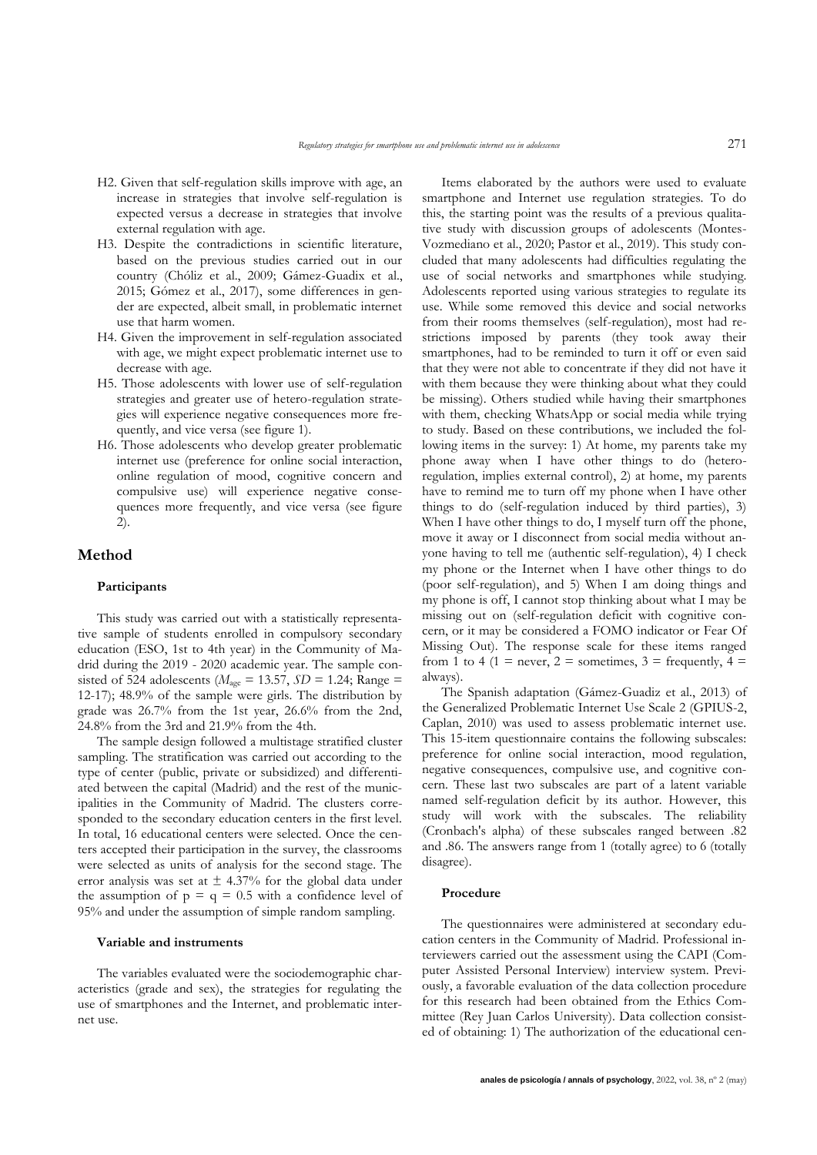- H2. Given that self-regulation skills improve with age, an increase in strategies that involve self-regulation is expected versus a decrease in strategies that involve external regulation with age.
- H3. Despite the contradictions in scientific literature, based on the previous studies carried out in our country (Chóliz et al., 2009; Gámez-Guadix et al., 2015; Gómez et al., 2017), some differences in gender are expected, albeit small, in problematic internet use that harm women.
- H4. Given the improvement in self-regulation associated with age, we might expect problematic internet use to decrease with age.
- H5. Those adolescents with lower use of self-regulation strategies and greater use of hetero-regulation strategies will experience negative consequences more frequently, and vice versa (see figure 1).
- H6. Those adolescents who develop greater problematic internet use (preference for online social interaction, online regulation of mood, cognitive concern and compulsive use) will experience negative consequences more frequently, and vice versa (see figure 2).

## **Method**

#### **Participants**

This study was carried out with a statistically representative sample of students enrolled in compulsory secondary education (ESO, 1st to 4th year) in the Community of Madrid during the 2019 - 2020 academic year. The sample consisted of 524 adolescents ( $M<sub>age</sub> = 13.57$ ,  $SD = 1.24$ ; Range = 12-17); 48.9% of the sample were girls. The distribution by grade was 26.7% from the 1st year, 26.6% from the 2nd, 24.8% from the 3rd and 21.9% from the 4th.

The sample design followed a multistage stratified cluster sampling. The stratification was carried out according to the type of center (public, private or subsidized) and differentiated between the capital (Madrid) and the rest of the municipalities in the Community of Madrid. The clusters corresponded to the secondary education centers in the first level. In total, 16 educational centers were selected. Once the centers accepted their participation in the survey, the classrooms were selected as units of analysis for the second stage. The error analysis was set at  $\pm$  4.37% for the global data under the assumption of  $p = q = 0.5$  with a confidence level of 95% and under the assumption of simple random sampling.

#### **Variable and instruments**

The variables evaluated were the sociodemographic characteristics (grade and sex), the strategies for regulating the use of smartphones and the Internet, and problematic internet use.

Items elaborated by the authors were used to evaluate smartphone and Internet use regulation strategies. To do this, the starting point was the results of a previous qualitative study with discussion groups of adolescents (Montes-Vozmediano et al., 2020; Pastor et al., 2019). This study concluded that many adolescents had difficulties regulating the use of social networks and smartphones while studying. Adolescents reported using various strategies to regulate its use. While some removed this device and social networks from their rooms themselves (self-regulation), most had restrictions imposed by parents (they took away their smartphones, had to be reminded to turn it off or even said that they were not able to concentrate if they did not have it with them because they were thinking about what they could be missing). Others studied while having their smartphones with them, checking WhatsApp or social media while trying to study. Based on these contributions, we included the following items in the survey: 1) At home, my parents take my phone away when I have other things to do (heteroregulation, implies external control), 2) at home, my parents have to remind me to turn off my phone when I have other things to do (self-regulation induced by third parties), 3) When I have other things to do, I myself turn off the phone, move it away or I disconnect from social media without anyone having to tell me (authentic self-regulation), 4) I check my phone or the Internet when I have other things to do (poor self-regulation), and 5) When I am doing things and my phone is off, I cannot stop thinking about what I may be missing out on (self-regulation deficit with cognitive concern, or it may be considered a FOMO indicator or Fear Of Missing Out). The response scale for these items ranged from 1 to 4 (1 = never, 2 = sometimes, 3 = frequently, 4 = always).

The Spanish adaptation (Gámez-Guadiz et al., 2013) of the Generalized Problematic Internet Use Scale 2 (GPIUS-2, Caplan, 2010) was used to assess problematic internet use. This 15-item questionnaire contains the following subscales: preference for online social interaction, mood regulation, negative consequences, compulsive use, and cognitive concern. These last two subscales are part of a latent variable named self-regulation deficit by its author. However, this study will work with the subscales. The reliability (Cronbach's alpha) of these subscales ranged between .82 and .86. The answers range from 1 (totally agree) to 6 (totally disagree).

#### **Procedure**

The questionnaires were administered at secondary education centers in the Community of Madrid. Professional interviewers carried out the assessment using the CAPI (Computer Assisted Personal Interview) interview system. Previously, a favorable evaluation of the data collection procedure for this research had been obtained from the Ethics Committee (Rey Juan Carlos University). Data collection consisted of obtaining: 1) The authorization of the educational cen-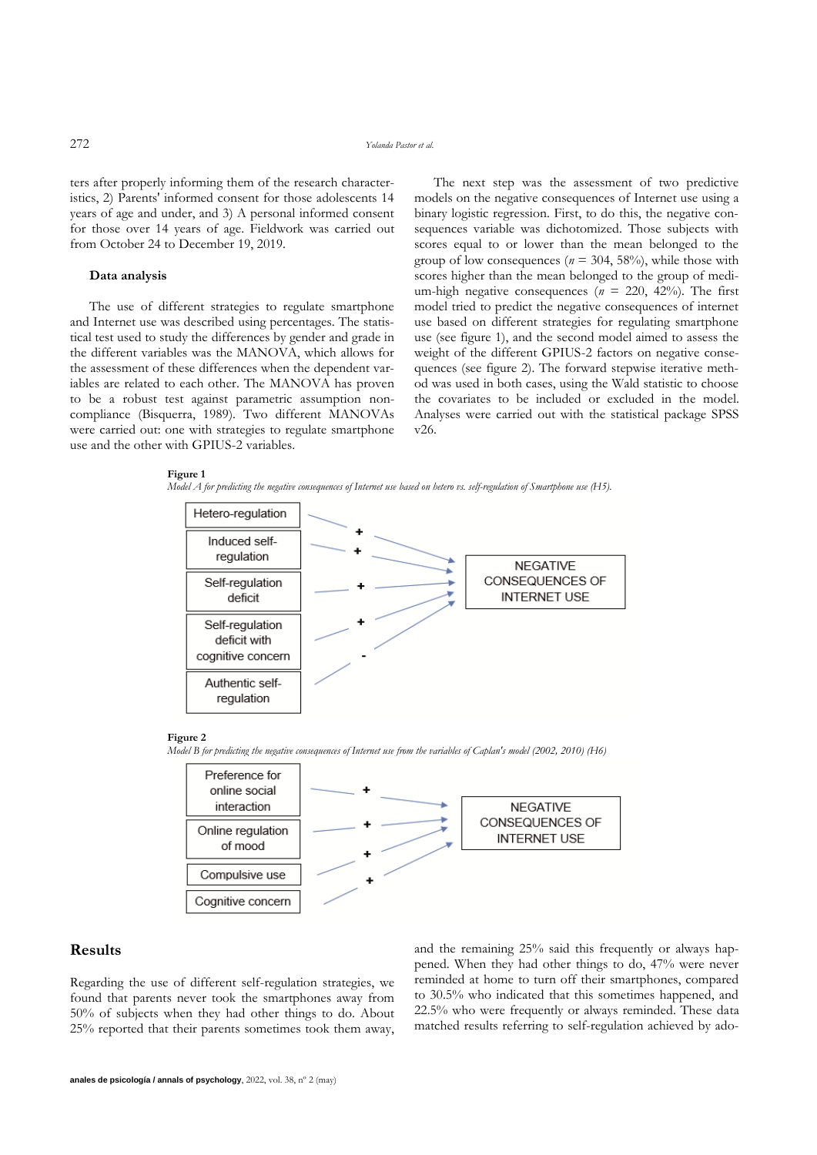ters after properly informing them of the research characteristics, 2) Parents' informed consent for those adolescents 14 years of age and under, and 3) A personal informed consent for those over 14 years of age. Fieldwork was carried out from October 24 to December 19, 2019.

#### **Data analysis**

The use of different strategies to regulate smartphone and Internet use was described using percentages. The statistical test used to study the differences by gender and grade in the different variables was the MANOVA, which allows for the assessment of these differences when the dependent variables are related to each other. The MANOVA has proven to be a robust test against parametric assumption noncompliance (Bisquerra, 1989). Two different MANOVAs were carried out: one with strategies to regulate smartphone use and the other with GPIUS-2 variables.

The next step was the assessment of two predictive models on the negative consequences of Internet use using a binary logistic regression. First, to do this, the negative consequences variable was dichotomized. Those subjects with scores equal to or lower than the mean belonged to the group of low consequences ( $n = 304, 58\%$ ), while those with scores higher than the mean belonged to the group of medium-high negative consequences  $(n = 220, 42\%)$ . The first model tried to predict the negative consequences of internet use based on different strategies for regulating smartphone use (see figure 1), and the second model aimed to assess the weight of the different GPIUS-2 factors on negative consequences (see figure 2). The forward stepwise iterative method was used in both cases, using the Wald statistic to choose the covariates to be included or excluded in the model. Analyses were carried out with the statistical package SPSS v26.

#### **Figure 1**

*Model A for predicting the negative consequences of Internet use based on hetero vs. self-regulation of Smartphone use (H5).*



### **Figure 2**

*Model B for predicting the negative consequences of Internet use from the variables of Caplan's model (2002, 2010) (H6)*



### **Results**

Regarding the use of different self-regulation strategies, we found that parents never took the smartphones away from 50% of subjects when they had other things to do. About 25% reported that their parents sometimes took them away, and the remaining 25% said this frequently or always happened. When they had other things to do, 47% were never reminded at home to turn off their smartphones, compared to 30.5% who indicated that this sometimes happened, and 22.5% who were frequently or always reminded. These data matched results referring to self-regulation achieved by ado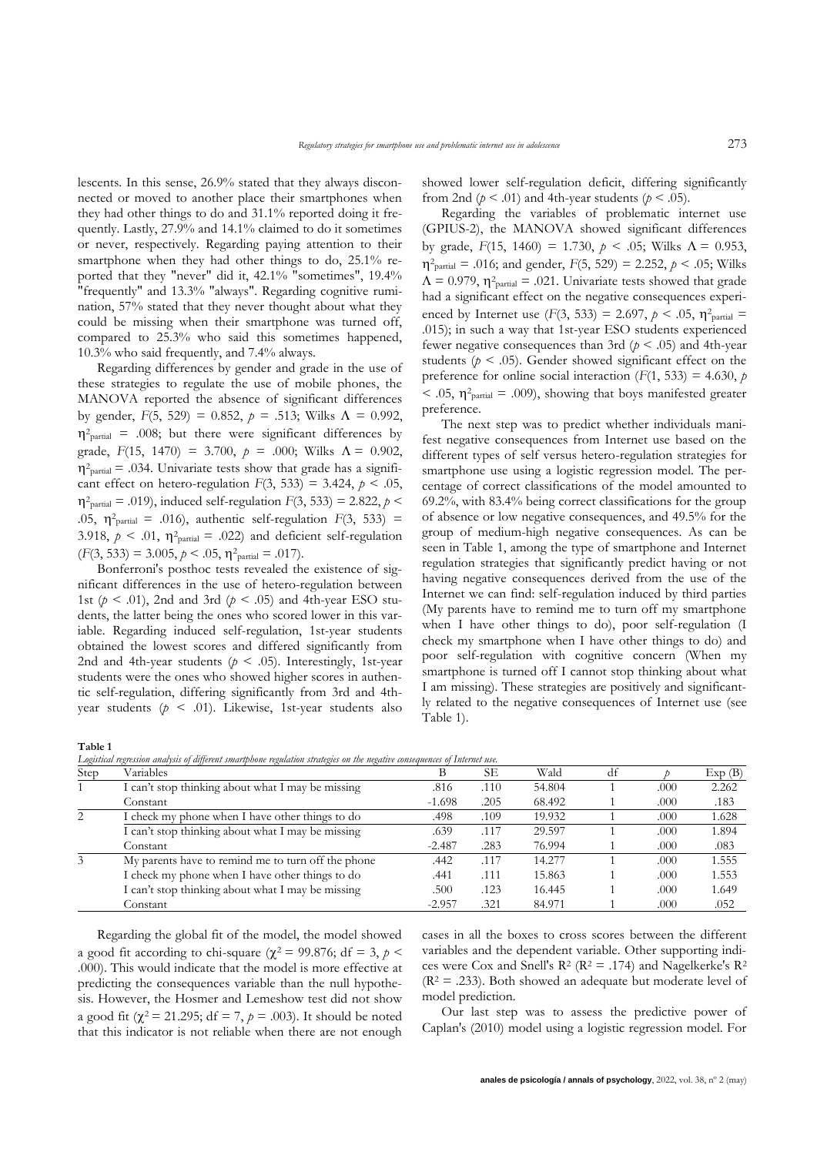lescents. In this sense, 26.9% stated that they always disconnected or moved to another place their smartphones when they had other things to do and 31.1% reported doing it frequently. Lastly, 27.9% and 14.1% claimed to do it sometimes or never, respectively. Regarding paying attention to their smartphone when they had other things to do, 25.1% reported that they "never" did it, 42.1% "sometimes", 19.4% "frequently" and 13.3% "always". Regarding cognitive rumination, 57% stated that they never thought about what they could be missing when their smartphone was turned off, compared to 25.3% who said this sometimes happened, 10.3% who said frequently, and 7.4% always.

Regarding differences by gender and grade in the use of these strategies to regulate the use of mobile phones, the MANOVA reported the absence of significant differences by gender,  $F(5, 529) = 0.852$ ,  $p = .513$ ; Wilks  $\Lambda = 0.992$ ,  $\eta^2$ <sub>partial</sub> = .008; but there were significant differences by grade,  $F(15, 1470) = 3.700$ ,  $p = .000$ ; Wilks  $\Lambda = 0.902$ ,  $\eta^2$ <sub>partial</sub> = .034. Univariate tests show that grade has a significant effect on hetero-regulation  $F(3, 533) = 3.424$ ,  $p < .05$ ,  $\eta^2$ <sub>partial</sub> = .019), induced self-regulation *F*(3, 533) = 2.822, *p* < .05,  $\eta^2$ <sub>partial</sub> = .016), authentic self-regulation  $F(3, 533)$  = 3.918,  $p < .01$ ,  $\eta^2$ <sub>partial</sub> = .022) and deficient self-regulation  $(F(3, 533) = 3.005, p < .05, \eta^2$ <sub>partial</sub> = .017).

Bonferroni's posthoc tests revealed the existence of significant differences in the use of hetero-regulation between 1st  $(p < .01)$ , 2nd and 3rd  $(p < .05)$  and 4th-year ESO students, the latter being the ones who scored lower in this variable. Regarding induced self-regulation, 1st-year students obtained the lowest scores and differed significantly from 2nd and 4th-year students ( $p < .05$ ). Interestingly, 1st-year students were the ones who showed higher scores in authentic self-regulation, differing significantly from 3rd and 4thyear students (*p* < .01). Likewise, 1st-year students also

showed lower self-regulation deficit, differing significantly from 2nd ( $p < .01$ ) and 4th-year students ( $p < .05$ ).

Regarding the variables of problematic internet use (GPIUS-2), the MANOVA showed significant differences by grade,  $F(15, 1460) = 1.730, p < .05$ ; Wilks  $\Lambda = 0.953$ ,  $\eta^2$ <sub>partial</sub> = .016; and gender, *F*(5, 529) = 2.252, *p* < .05; Wilks  $\Lambda = 0.979$ ,  $\eta^2$ <sub>partial</sub> = .021. Univariate tests showed that grade had a significant effect on the negative consequences experienced by Internet use  $(F(3, 533) = 2.697, p < .05, \eta^2$ <sub>partial</sub> = .015); in such a way that 1st-year ESO students experienced fewer negative consequences than 3rd ( $p < .05$ ) and 4th-year students ( $p < .05$ ). Gender showed significant effect on the preference for online social interaction  $(F(1, 533) = 4.630, p)$  $<$  .05,  $\eta^2$ <sub>partial</sub> = .009), showing that boys manifested greater preference.

The next step was to predict whether individuals manifest negative consequences from Internet use based on the different types of self versus hetero-regulation strategies for smartphone use using a logistic regression model. The percentage of correct classifications of the model amounted to 69.2%, with 83.4% being correct classifications for the group of absence or low negative consequences, and 49.5% for the group of medium-high negative consequences. As can be seen in Table 1, among the type of smartphone and Internet regulation strategies that significantly predict having or not having negative consequences derived from the use of the Internet we can find: self-regulation induced by third parties (My parents have to remind me to turn off my smartphone when I have other things to do), poor self-regulation (I check my smartphone when I have other things to do) and poor self-regulation with cognitive concern (When my smartphone is turned off I cannot stop thinking about what I am missing). These strategies are positively and significantly related to the negative consequences of Internet use (see Table 1).

**Table 1**

*Logistical regression analysis of different smartphone regulation strategies on the negative consequences of Internet use.*

| Step | Variables                                          |          | SЕ   | Wald   | df |      | Exp(B) |
|------|----------------------------------------------------|----------|------|--------|----|------|--------|
|      | I can't stop thinking about what I may be missing  | .816     | .110 | 54.804 |    | .000 | 2.262  |
|      | Constant                                           | $-1.698$ | .205 | 68.492 |    | .000 | .183   |
| 2    | check my phone when I have other things to do      | .498     | .109 | 19.932 |    | .000 | 1.628  |
|      | I can't stop thinking about what I may be missing  | .639     | .117 | 29.597 |    | .000 | 1.894  |
|      | Constant                                           | $-2.487$ | .283 | 76.994 |    | .000 | .083   |
| 3    | My parents have to remind me to turn off the phone | .442     | .117 | 14.277 |    | .000 | 1.555  |
|      | I check my phone when I have other things to do    | .441     | .111 | 15.863 |    | .000 | 1.553  |
|      | I can't stop thinking about what I may be missing  | .500     | .123 | 16.445 |    | .000 | 1.649  |
|      | Constant                                           | $-2.957$ | .321 | 84.971 |    | .000 | .052   |

Regarding the global fit of the model, the model showed a good fit according to chi-square ( $\chi^2$  = 99.876; df = 3, *p* < .000). This would indicate that the model is more effective at predicting the consequences variable than the null hypothesis. However, the Hosmer and Lemeshow test did not show a good fit ( $\chi^2$  = 21.295; df = 7,  $p$  = .003). It should be noted that this indicator is not reliable when there are not enough

cases in all the boxes to cross scores between the different variables and the dependent variable. Other supporting indices were Cox and Snell's  $R^2$  ( $R^2 = .174$ ) and Nagelkerke's  $R^2$  $(R<sup>2</sup> = .233)$ . Both showed an adequate but moderate level of model prediction.

Our last step was to assess the predictive power of Caplan's (2010) model using a logistic regression model. For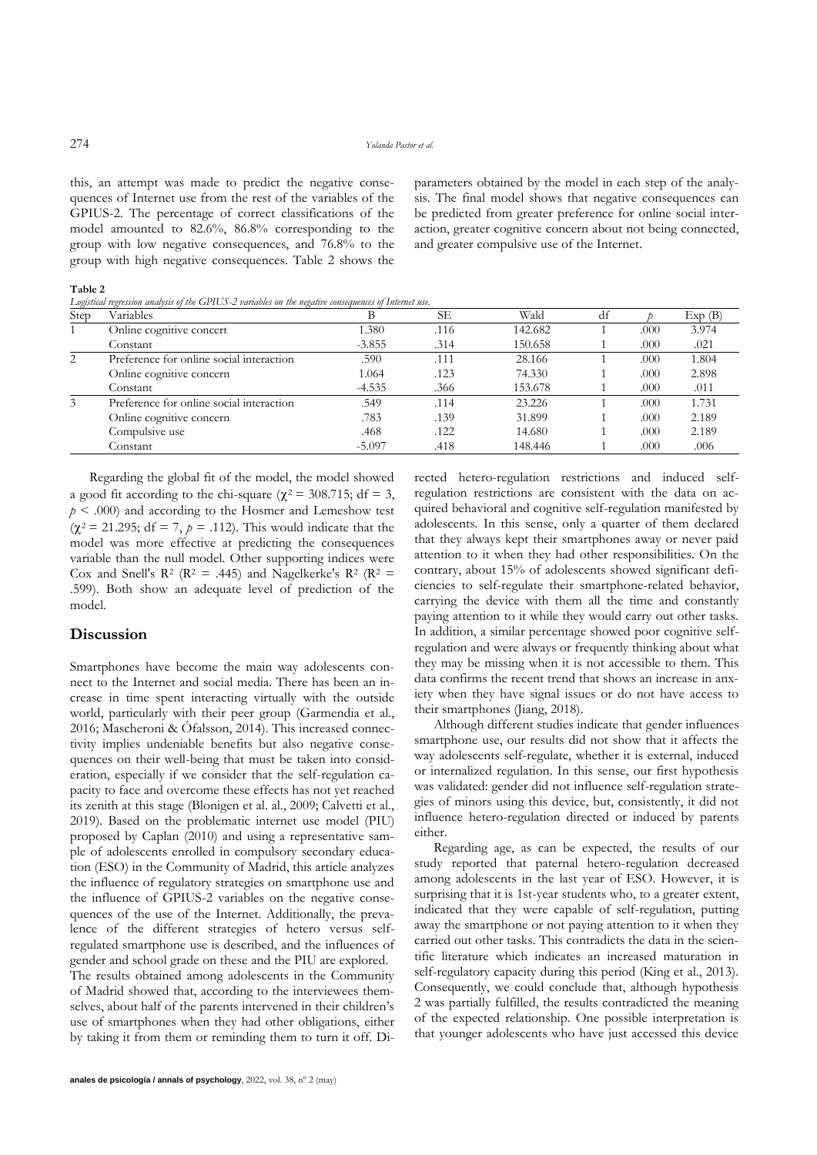this, an attempt was made to predict the negative consequences of Internet use from the rest of the variables of the GPIUS-2. The percentage of correct classifications of the model amounted to 82.6%, 86.8% corresponding to the group with low negative consequences, and 76.8% to the group with high negative consequences. Table 2 shows the parameters obtained by the model in each step of the analysis. The final model shows that negative consequences can be predicted from greater preference for online social interaction, greater cognitive concern about not being connected, and greater compulsive use of the Internet.

**Table 2**

*Logistical regression analysis of the GPIUS-2 variables on the negative consequences of Internet use.*

| Step | Variables                                |          | SЕ   | Wald    | df |      | Exp(B) |
|------|------------------------------------------|----------|------|---------|----|------|--------|
|      | Online cognitive concert                 | .380     | .116 | 142.682 |    | .000 | 3.974  |
|      | Constant                                 | $-3.855$ | .314 | 150.658 |    | .000 | .021   |
| 2    | Preference for online social interaction | .590     | .111 | 28.166  |    | .000 | 1.804  |
|      | Online cognitive concern                 | 1.064    | .123 | 74.330  |    | .000 | 2.898  |
|      | Constant                                 | $-4.535$ | .366 | 153.678 |    | .000 | .011   |
| 3    | Preference for online social interaction | .549     | .114 | 23.226  |    | .000 | 1.731  |
|      | Online cognitive concern                 | .783     | .139 | 31.899  |    | .000 | 2.189  |
|      | Compulsive use                           | .468     | .122 | 14.680  |    | .000 | 2.189  |
|      | Constant                                 | $-5.097$ | .418 | 148.446 |    | .000 | .006   |

Regarding the global fit of the model, the model showed a good fit according to the chi-square ( $\chi^2$  = 308.715; df = 3,  $p \leq 0.000$  and according to the Hosmer and Lemeshow test  $(\chi^2 = 21.295; df = 7, p = .112)$ . This would indicate that the model was more effective at predicting the consequences variable than the null model. Other supporting indices were Cox and Snell's  $\mathbb{R}^2$  ( $\mathbb{R}^2 = .445$ ) and Nagelkerke's  $\mathbb{R}^2$  ( $\mathbb{R}^2 =$ .599). Both show an adequate level of prediction of the model.

### **Discussion**

Smartphones have become the main way adolescents connect to the Internet and social media. There has been an increase in time spent interacting virtually with the outside world, particularly with their peer group (Garmendia et al., 2016; Mascheroni & Ófalsson, 2014). This increased connectivity implies undeniable benefits but also negative consequences on their well-being that must be taken into consideration, especially if we consider that the self-regulation capacity to face and overcome these effects has not yet reached its zenith at this stage (Blonigen et al. al., 2009; Calvetti et al., 2019). Based on the problematic internet use model (PIU) proposed by Caplan (2010) and using a representative sample of adolescents enrolled in compulsory secondary education (ESO) in the Community of Madrid, this article analyzes the influence of regulatory strategies on smartphone use and the influence of GPIUS-2 variables on the negative consequences of the use of the Internet. Additionally, the prevalence of the different strategies of hetero versus selfregulated smartphone use is described, and the influences of gender and school grade on these and the PIU are explored. The results obtained among adolescents in the Community of Madrid showed that, according to the interviewees themselves, about half of the parents intervened in their children's use of smartphones when they had other obligations, either by taking it from them or reminding them to turn it off. Directed hetero-regulation restrictions and induced selfregulation restrictions are consistent with the data on acquired behavioral and cognitive self-regulation manifested by adolescents. In this sense, only a quarter of them declared that they always kept their smartphones away or never paid attention to it when they had other responsibilities. On the contrary, about 15% of adolescents showed significant deficiencies to self-regulate their smartphone-related behavior, carrying the device with them all the time and constantly paying attention to it while they would carry out other tasks. In addition, a similar percentage showed poor cognitive selfregulation and were always or frequently thinking about what they may be missing when it is not accessible to them. This data confirms the recent trend that shows an increase in anxiety when they have signal issues or do not have access to their smartphones (Jiang, 2018).

Although different studies indicate that gender influences smartphone use, our results did not show that it affects the way adolescents self-regulate, whether it is external, induced or internalized regulation. In this sense, our first hypothesis was validated: gender did not influence self-regulation strategies of minors using this device, but, consistently, it did not influence hetero-regulation directed or induced by parents either.

Regarding age, as can be expected, the results of our study reported that paternal hetero-regulation decreased among adolescents in the last year of ESO. However, it is surprising that it is 1st-year students who, to a greater extent, indicated that they were capable of self-regulation, putting away the smartphone or not paying attention to it when they carried out other tasks. This contradicts the data in the scientific literature which indicates an increased maturation in self-regulatory capacity during this period (King et al., 2013). Consequently, we could conclude that, although hypothesis 2 was partially fulfilled, the results contradicted the meaning of the expected relationship. One possible interpretation is that younger adolescents who have just accessed this device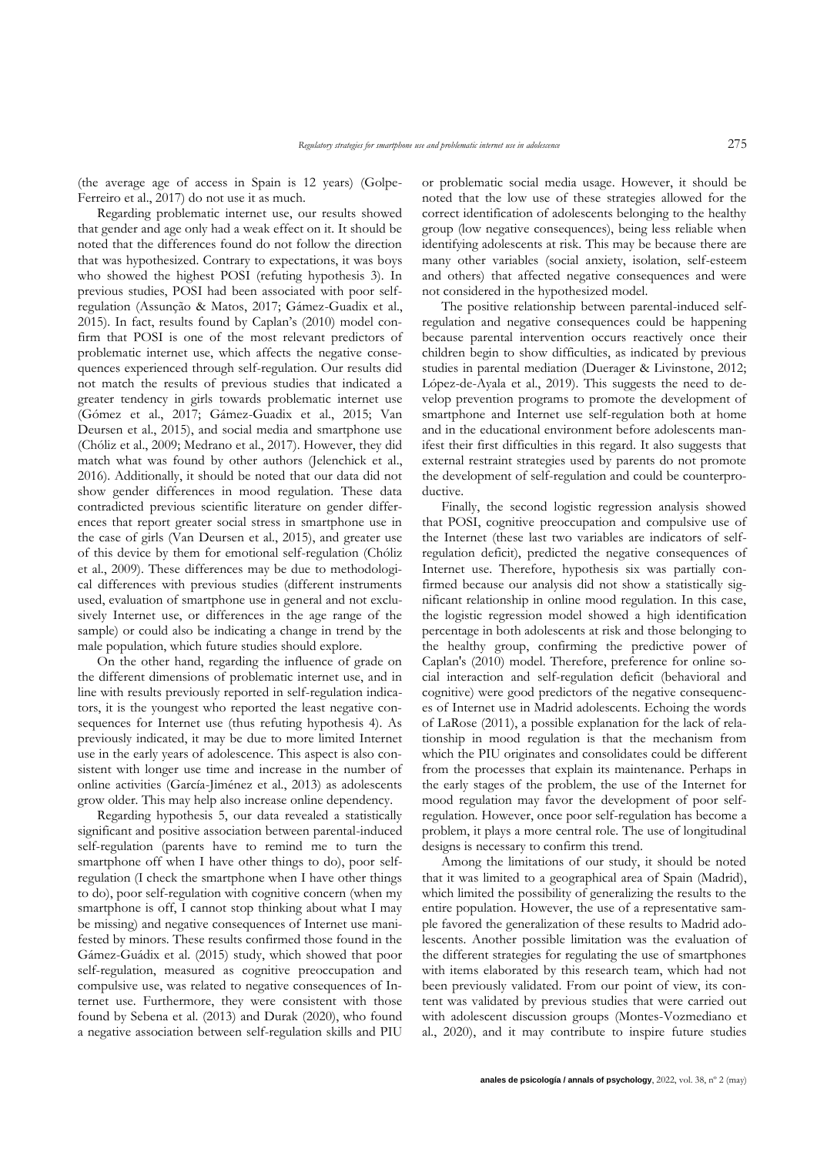(the average age of access in Spain is 12 years) (Golpe-Ferreiro et al., 2017) do not use it as much.

Regarding problematic internet use, our results showed that gender and age only had a weak effect on it. It should be noted that the differences found do not follow the direction that was hypothesized. Contrary to expectations, it was boys who showed the highest POSI (refuting hypothesis 3). In previous studies, POSI had been associated with poor selfregulation (Assunção & Matos, 2017; Gámez-Guadix et al., 2015). In fact, results found by Caplan's (2010) model confirm that POSI is one of the most relevant predictors of problematic internet use, which affects the negative consequences experienced through self-regulation. Our results did not match the results of previous studies that indicated a greater tendency in girls towards problematic internet use (Gómez et al., 2017; Gámez-Guadix et al., 2015; Van Deursen et al., 2015), and social media and smartphone use (Chóliz et al., 2009; Medrano et al., 2017). However, they did match what was found by other authors (Jelenchick et al., 2016). Additionally, it should be noted that our data did not show gender differences in mood regulation. These data contradicted previous scientific literature on gender differences that report greater social stress in smartphone use in the case of girls (Van Deursen et al., 2015), and greater use of this device by them for emotional self-regulation (Chóliz et al., 2009). These differences may be due to methodological differences with previous studies (different instruments used, evaluation of smartphone use in general and not exclusively Internet use, or differences in the age range of the sample) or could also be indicating a change in trend by the male population, which future studies should explore.

On the other hand, regarding the influence of grade on the different dimensions of problematic internet use, and in line with results previously reported in self-regulation indicators, it is the youngest who reported the least negative consequences for Internet use (thus refuting hypothesis 4). As previously indicated, it may be due to more limited Internet use in the early years of adolescence. This aspect is also consistent with longer use time and increase in the number of online activities (García-Jiménez et al., 2013) as adolescents grow older. This may help also increase online dependency.

Regarding hypothesis 5, our data revealed a statistically significant and positive association between parental-induced self-regulation (parents have to remind me to turn the smartphone off when I have other things to do), poor selfregulation (I check the smartphone when I have other things to do), poor self-regulation with cognitive concern (when my smartphone is off, I cannot stop thinking about what I may be missing) and negative consequences of Internet use manifested by minors. These results confirmed those found in the Gámez-Guádix et al. (2015) study, which showed that poor self-regulation, measured as cognitive preoccupation and compulsive use, was related to negative consequences of Internet use. Furthermore, they were consistent with those found by Sebena et al. (2013) and Durak (2020), who found a negative association between self-regulation skills and PIU or problematic social media usage. However, it should be noted that the low use of these strategies allowed for the correct identification of adolescents belonging to the healthy group (low negative consequences), being less reliable when identifying adolescents at risk. This may be because there are many other variables (social anxiety, isolation, self-esteem and others) that affected negative consequences and were not considered in the hypothesized model.

The positive relationship between parental-induced selfregulation and negative consequences could be happening because parental intervention occurs reactively once their children begin to show difficulties, as indicated by previous studies in parental mediation (Duerager & Livinstone, 2012; López-de-Ayala et al., 2019). This suggests the need to develop prevention programs to promote the development of smartphone and Internet use self-regulation both at home and in the educational environment before adolescents manifest their first difficulties in this regard. It also suggests that external restraint strategies used by parents do not promote the development of self-regulation and could be counterproductive.

Finally, the second logistic regression analysis showed that POSI, cognitive preoccupation and compulsive use of the Internet (these last two variables are indicators of selfregulation deficit), predicted the negative consequences of Internet use. Therefore, hypothesis six was partially confirmed because our analysis did not show a statistically significant relationship in online mood regulation. In this case, the logistic regression model showed a high identification percentage in both adolescents at risk and those belonging to the healthy group, confirming the predictive power of Caplan's (2010) model. Therefore, preference for online social interaction and self-regulation deficit (behavioral and cognitive) were good predictors of the negative consequences of Internet use in Madrid adolescents. Echoing the words of LaRose (2011), a possible explanation for the lack of relationship in mood regulation is that the mechanism from which the PIU originates and consolidates could be different from the processes that explain its maintenance. Perhaps in the early stages of the problem, the use of the Internet for mood regulation may favor the development of poor selfregulation. However, once poor self-regulation has become a problem, it plays a more central role. The use of longitudinal designs is necessary to confirm this trend.

Among the limitations of our study, it should be noted that it was limited to a geographical area of Spain (Madrid), which limited the possibility of generalizing the results to the entire population. However, the use of a representative sample favored the generalization of these results to Madrid adolescents. Another possible limitation was the evaluation of the different strategies for regulating the use of smartphones with items elaborated by this research team, which had not been previously validated. From our point of view, its content was validated by previous studies that were carried out with adolescent discussion groups (Montes-Vozmediano et al., 2020), and it may contribute to inspire future studies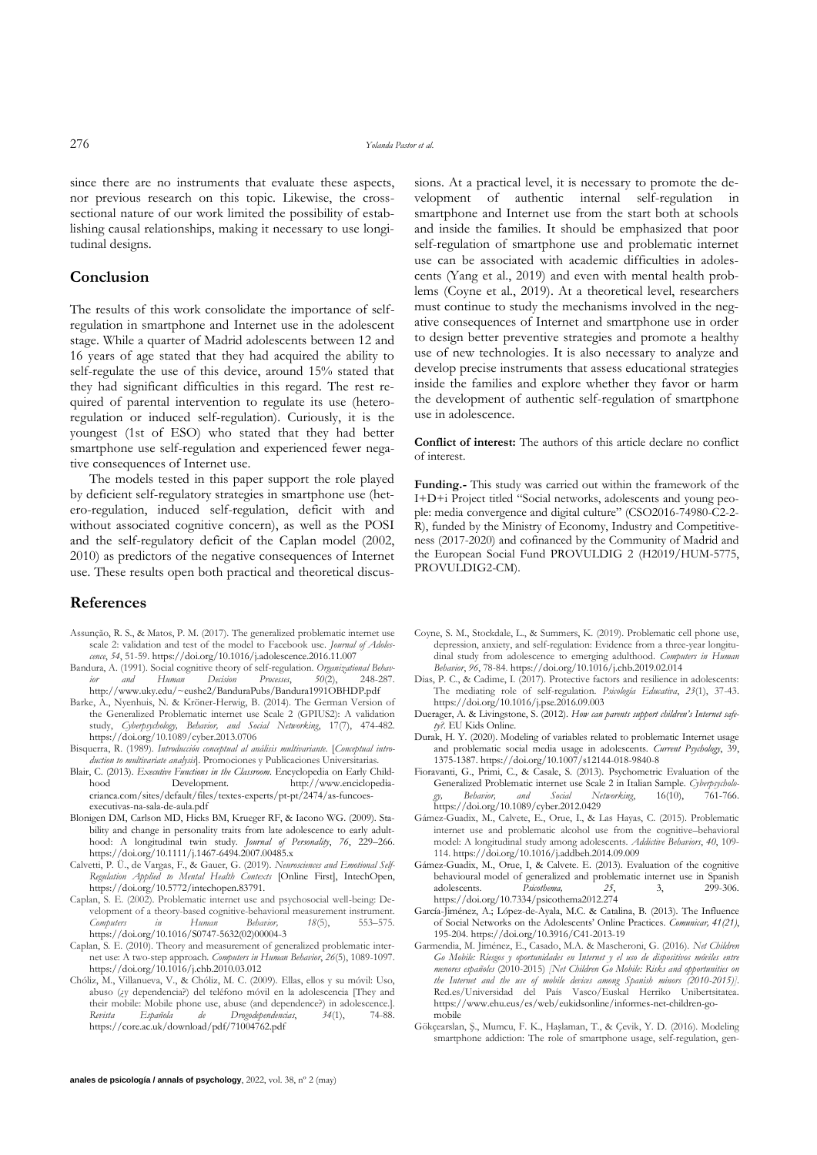since there are no instruments that evaluate these aspects, nor previous research on this topic. Likewise, the crosssectional nature of our work limited the possibility of establishing causal relationships, making it necessary to use longitudinal designs.

## **Conclusion**

The results of this work consolidate the importance of selfregulation in smartphone and Internet use in the adolescent stage. While a quarter of Madrid adolescents between 12 and 16 years of age stated that they had acquired the ability to self-regulate the use of this device, around 15% stated that they had significant difficulties in this regard. The rest required of parental intervention to regulate its use (heteroregulation or induced self-regulation). Curiously, it is the youngest (1st of ESO) who stated that they had better smartphone use self-regulation and experienced fewer negative consequences of Internet use.

The models tested in this paper support the role played by deficient self-regulatory strategies in smartphone use (hetero-regulation, induced self-regulation, deficit with and without associated cognitive concern), as well as the POSI and the self-regulatory deficit of the Caplan model (2002, 2010) as predictors of the negative consequences of Internet use. These results open both practical and theoretical discus-

#### **References**

- Assunção, R. S., & Matos, P. M. (2017). The generalized problematic internet use scale 2: validation and test of the model to Facebook use. *Journal of Adolescence*, *54*, 51-59. https://doi.org/10.1016/j.adolescence.2016.11.007
- Bandura, A. (1991). Social cognitive theory of self-regulation. *Organizational Behavior and Human Decision Processes*, *50*(2), 248-287. http://www.uky.edu/~eushe2/BanduraPubs/Bandura1991OBHDP.pdf
- Barke, A., Nyenhuis, N. & Kröner-Herwig, B. (2014). The German Version of the Generalized Problematic internet use Scale 2 (GPIUS2): A validation study, *Cyberpsychology, Behavior, and Social Networking*, 17(7), 474-482. https://doi.org/10.1089/cyber.2013.0706
- Bisquerra, R. (1989). *Introducción conceptual al análisis multivariante.* [*Conceptual introduction to multivariate analysis*]. Promociones y Publicaciones Universitarias.
- Blair, C. (2013). *Executive Functions in the Classroom*. Encyclopedia on Early Childhood Development. http://www.enciclopediacrianca.com/sites/default/files/textes-experts/pt-pt/2474/as-funcoesexecutivas-na-sala-de-aula.pdf
- Blonigen DM, Carlson MD, Hicks BM, Krueger RF, & Iacono WG. (2009). Stability and change in personality traits from late adolescence to early adulthood: A longitudinal twin study. *Journal of Personality*, *76*, 229–266. <https://doi.org/10.1111/j.1467-6494.2007.00485.x>
- Calvetti, P. Ü., de Vargas, F., & Gauer, G. (2019). *Neurosciences and Emotional Self-Regulation Applied to Mental Health Contexts* [Online First], IntechOpen, https://doi.org/10.5772/intechopen.83791.
- Caplan, S. E. (2002). Problematic internet use and psychosocial well-being: Development of a theory-based cognitive-behavioral measurement instrument.<br> *Computers in Human Behavior*, 18(5), 553–575. *Computers in Human Behavior, 18*(5), 553–575. https://doi.org/10.1016/S0747-5632(02)00004-3
- Caplan, S. E. (2010). Theory and measurement of generalized problematic internet use: A two-step approach. *Computers in Human Behavior*, *26*(5), 1089-1097. https://doi.org/10.1016/j.chb.2010.03.012
- Chóliz, M., Villanueva, V., & Chóliz, M. C. (2009). Ellas, ellos y su móvil: Uso, abuso (¿y dependencia?) del teléfono móvil en la adolescencia [They and their mobile: Mobile phone use, abuse (and dependence?) in adolescence.]<br>
Revista Española de Drogodependencias, 34(1), 74-88. *Revista Española de Drogodependencias*, *34*(1), 74-88. https://core.ac.uk/download/pdf/71004762.pdf

sions. At a practical level, it is necessary to promote the development of authentic internal self-regulation in smartphone and Internet use from the start both at schools and inside the families. It should be emphasized that poor self-regulation of smartphone use and problematic internet use can be associated with academic difficulties in adolescents (Yang et al., 2019) and even with mental health problems (Coyne et al., 2019). At a theoretical level, researchers must continue to study the mechanisms involved in the negative consequences of Internet and smartphone use in order to design better preventive strategies and promote a healthy use of new technologies. It is also necessary to analyze and develop precise instruments that assess educational strategies inside the families and explore whether they favor or harm the development of authentic self-regulation of smartphone use in adolescence.

**Conflict of interest:** The authors of this article declare no conflict of interest.

**Funding.-** This study was carried out within the framework of the I+D+i Project titled "Social networks, adolescents and young people: media convergence and digital culture" (CSO2016-74980-C2-2- R), funded by the Ministry of Economy, Industry and Competitiveness (2017-2020) and cofinanced by the Community of Madrid and the European Social Fund PROVULDIG 2 (H2019/HUM-5775, PROVULDIG2-CM).

- Coyne, S. M., Stockdale, L., & Summers, K. (2019). Problematic cell phone use, depression, anxiety, and self-regulation: Evidence from a three-year longitudinal study from adolescence to emerging adulthood. *Computers in Human Behavior*, *96*, 78-84. https://doi.org/10.1016/j.chb.2019.02.014
- Dias, P. C., & Cadime, I. (2017). Protective factors and resilience in adolescents: The mediating role of self-regulation. *Psicología Educativa*, *23*(1), 37-43. https://doi.org/10.1016/j.pse.2016.09.003
- Duerager, A. & Livingstone, S. (2012). *How can parents support children's Internet safety?.* EU Kids Online.
- Durak, H. Y. (2020). Modeling of variables related to problematic Internet usage and problematic social media usage in adolescents. *Current Psychology*, 39, 1375-1387. https://doi.org/10.1007/s12144-018-9840-8
- Fioravanti, G., Primi, C., & Casale, S. (2013). Psychometric Evaluation of the Generalized Problematic internet use Scale 2 in Italian Sample. *Cyberpsycholo-*<br> *and Social Networking*16(10)
761-766 *Behavior, and Social Networking*, 16(10), https://doi.org/10.1089/cyber.2012.0429
- Gámez-Guadix, M., Calvete, E., Orue, I., & Las Hayas, C. (2015). Problematic internet use and problematic alcohol use from the cognitive–behavioral model: A longitudinal study among adolescents. *Addictive Behaviors*, *40*, 109- 114. https://doi.org/10.1016/j.addbeh.2014.09.009
- Gámez-Guadix, M., Orue, I, & Calvete. E. (2013). Evaluation of the cognitive behavioural model of generalized and problematic internet use in Spanish adolescents. *Psicothema, 25*, 3, 299-306. https://doi.org/10.7334/psicothema2012.274
- García-Jiménez, A.; López-de-Ayala, M.C. & Catalina, B. (2013). The Influence of Social Networks on the Adolescents' Online Practices. *Comunicar, 41(21)*, 195-204. https://doi.org/10.3916/C41-2013-19
- Garmendia, M. Jiménez, E., Casado, M.A. & Mascheroni, G. (2016). *Net Children Go Mobile: Riesgos y oportunidades en Internet y el uso de dispositivos móviles entre menores españoles* (2010-2015) *[Net Children Go Mobile: Risks and opportunities on the Internet and the use of mobile devices among Spanish minors (2010-2015)]*. Red.es/Universidad del País Vasco/Euskal Herriko Unibertsitatea. https://www.ehu.eus/es/web/eukidsonline/informes-net-children-gomobile
- Gökçearslan, Ş., Mumcu, F. K., Haşlaman, T., & Çevik, Y. D. (2016). Modeling smartphone addiction: The role of smartphone usage, self-regulation, gen-